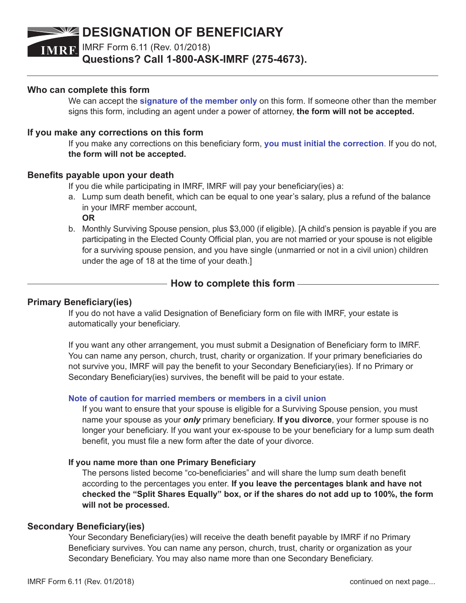## **DESIGNATION OF BENEFICIARY**

IMRF Form 6.11 (Rev. 01/2018)

**Questions? Call 1-800-ASK-IMRF (275-4673).**

## **Who can complete this form**

We can accept the **signature of the member only** on this form. If someone other than the member signs this form, including an agent under a power of attorney, **the form will not be accepted.**

## **If you make any corrections on this form**

If you make any corrections on this beneficiary form, **you must initial the correction**. If you do not, **the form will not be accepted.**

## **Benefits payable upon your death**

If you die while participating in IMRF, IMRF will pay your beneficiary(ies) a:

- a. Lump sum death benefit, which can be equal to one year's salary, plus a refund of the balance in your IMRF member account, **OR**
- b. Monthly Surviving Spouse pension, plus \$3,000 (if eligible). [A child's pension is payable if you are participating in the Elected County Official plan, you are not married or your spouse is not eligible for a surviving spouse pension, and you have single (unmarried or not in a civil union) children under the age of 18 at the time of your death.]

## **How to complete this form**

## **Primary Beneficiary(ies)**

If you do not have a valid Designation of Beneficiary form on file with IMRF, your estate is automatically your beneficiary.

If you want any other arrangement, you must submit a Designation of Beneficiary form to IMRF. You can name any person, church, trust, charity or organization. If your primary beneficiaries do not survive you, IMRF will pay the benefit to your Secondary Beneficiary(ies). If no Primary or Secondary Beneficiary(ies) survives, the benefit will be paid to your estate.

#### **Note of caution for married members or members in a civil union**

If you want to ensure that your spouse is eligible for a Surviving Spouse pension, you must name your spouse as your *only* primary beneficiary. **If you divorce**, your former spouse is no longer your beneficiary. If you want your ex-spouse to be your beneficiary for a lump sum death benefit, you must file a new form after the date of your divorce.

#### **If you name more than one Primary Beneficiary**

The persons listed become "co-beneficiaries" and will share the lump sum death benefit according to the percentages you enter. **If you leave the percentages blank and have not checked the "Split Shares Equally" box, or if the shares do not add up to 100%, the form will not be processed.**

#### **Secondary Beneficiary(ies)**

Your Secondary Beneficiary(ies) will receive the death benefit payable by IMRF if no Primary Beneficiary survives. You can name any person, church, trust, charity or organization as your Secondary Beneficiary. You may also name more than one Secondary Beneficiary.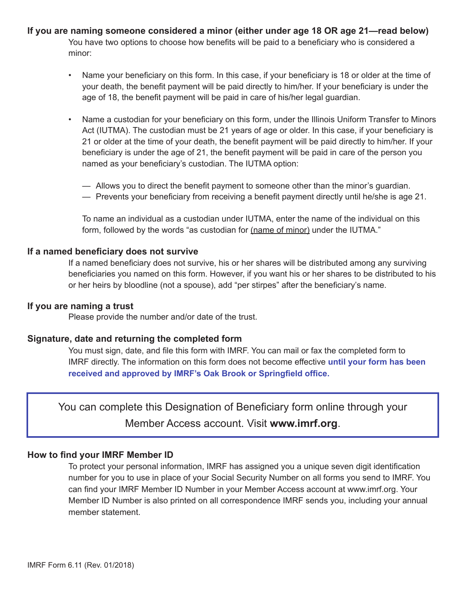**If you are naming someone considered a minor (either under age 18 OR age 21—read below)** You have two options to choose how benefits will be paid to a beneficiary who is considered a minor:

- Name your beneficiary on this form. In this case, if your beneficiary is 18 or older at the time of your death, the benefit payment will be paid directly to him/her. If your beneficiary is under the age of 18, the benefit payment will be paid in care of his/her legal guardian.
- Name a custodian for your beneficiary on this form, under the Illinois Uniform Transfer to Minors Act (IUTMA). The custodian must be 21 years of age or older. In this case, if your beneficiary is 21 or older at the time of your death, the benefit payment will be paid directly to him/her. If your beneficiary is under the age of 21, the benefit payment will be paid in care of the person you named as your beneficiary's custodian. The IUTMA option:
	- Allows you to direct the benefit payment to someone other than the minor's guardian.
	- Prevents your beneficiary from receiving a benefit payment directly until he/she is age 21.

To name an individual as a custodian under IUTMA, enter the name of the individual on this form, followed by the words "as custodian for (name of minor) under the IUTMA."

#### **If a named beneficiary does not survive**

If a named beneficiary does not survive, his or her shares will be distributed among any surviving beneficiaries you named on this form. However, if you want his or her shares to be distributed to his or her heirs by bloodline (not a spouse), add "per stirpes" after the beneficiary's name.

#### **If you are naming a trust**

Please provide the number and/or date of the trust.

#### **Signature, date and returning the completed form**

You must sign, date, and file this form with IMRF. You can mail or fax the completed form to IMRF directly. The information on this form does not become effective **until your form has been received and approved by IMRF's Oak Brook or Springfield office.** 

You can complete this Designation of Beneficiary form online through your Member Access account. Visit **www.imrf.org**.

#### **How to find your IMRF Member ID**

To protect your personal information, IMRF has assigned you a unique seven digit identification number for you to use in place of your Social Security Number on all forms you send to IMRF. You can find your IMRF Member ID Number in your Member Access account at www.imrf.org. Your Member ID Number is also printed on all correspondence IMRF sends you, including your annual member statement.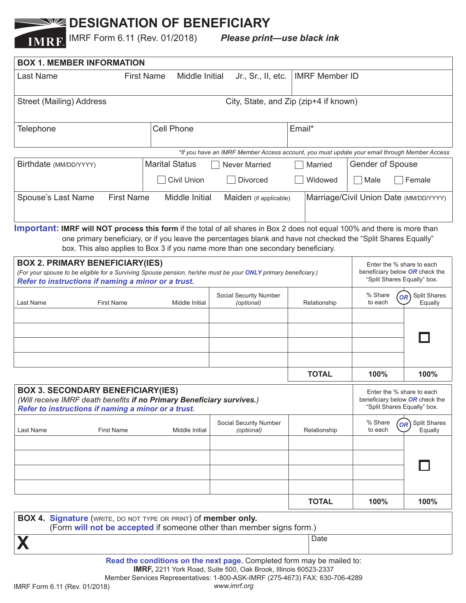## **NW DESIGNATION OF BENEFICIARY**

IMRF Form 6.11 (Rev. 01/2018) *Please print—use black ink*

| <b>BOX 1. MEMBER INFORMATION</b>                                                                                                                                                                                |                                                           |                                                                                                                                                                                                    |              |                                                                                            |                                                                                            |  |
|-----------------------------------------------------------------------------------------------------------------------------------------------------------------------------------------------------------------|-----------------------------------------------------------|----------------------------------------------------------------------------------------------------------------------------------------------------------------------------------------------------|--------------|--------------------------------------------------------------------------------------------|--------------------------------------------------------------------------------------------|--|
| Last Name                                                                                                                                                                                                       | Middle Initial<br><b>First Name</b><br>Jr., Sr., II, etc. |                                                                                                                                                                                                    |              | <b>IMRF Member ID</b>                                                                      |                                                                                            |  |
| Street (Mailing) Address                                                                                                                                                                                        |                                                           | City, State, and Zip (zip+4 if known)                                                                                                                                                              |              |                                                                                            |                                                                                            |  |
| Telephone                                                                                                                                                                                                       | <b>Cell Phone</b>                                         |                                                                                                                                                                                                    | Email*       |                                                                                            |                                                                                            |  |
|                                                                                                                                                                                                                 |                                                           | *If you have an IMRF Member Access account, you must update your email through Member Access                                                                                                       |              |                                                                                            |                                                                                            |  |
| Birthdate (MM/DD/YYYY)                                                                                                                                                                                          | <b>Marital Status</b>                                     | <b>Never Married</b>                                                                                                                                                                               |              | <b>Gender of Spouse</b><br>Married                                                         |                                                                                            |  |
|                                                                                                                                                                                                                 | <b>Civil Union</b>                                        | <b>Divorced</b>                                                                                                                                                                                    | Widowed      | Male                                                                                       | Female                                                                                     |  |
| <b>First Name</b><br>Middle Initial<br>Spouse's Last Name<br>Marriage/Civil Union Date (MM/DD/YYYY)<br>Maiden (if applicable)                                                                                   |                                                           |                                                                                                                                                                                                    |              |                                                                                            |                                                                                            |  |
| <b>Important: IMRF will NOT process this form</b> if the total of all shares in Box 2 does not equal 100% and there is more than                                                                                |                                                           | one primary beneficiary, or if you leave the percentages blank and have not checked the "Split Shares Equally"<br>box. This also applies to Box 3 if you name more than one secondary beneficiary. |              |                                                                                            |                                                                                            |  |
| <b>BOX 2. PRIMARY BENEFICIARY(IES)</b><br>(For your spouse to be eligible for a Surviving Spouse pension, he/she must be your ONLY primary beneficiary.)<br>Refer to instructions if naming a minor or a trust. |                                                           |                                                                                                                                                                                                    |              | Enter the % share to each<br>beneficiary below OR check the<br>"Split Shares Equally" box. |                                                                                            |  |
| <b>First Name</b><br>Last Name                                                                                                                                                                                  | Middle Initial                                            | Social Security Number<br>(optional)                                                                                                                                                               | Relationship | % Share<br>to each                                                                         | <b>Split Shares</b><br><b>OR</b><br>Equally                                                |  |
|                                                                                                                                                                                                                 |                                                           |                                                                                                                                                                                                    |              |                                                                                            |                                                                                            |  |
|                                                                                                                                                                                                                 |                                                           |                                                                                                                                                                                                    | <b>TOTAL</b> | 100%                                                                                       | 100%                                                                                       |  |
| <b>BOX 3. SECONDARY BENEFICIARY(IES)</b><br>(Will receive IMRF death benefits if no Primary Beneficiary survives.)<br>Refer to instructions if naming a minor or a trust.                                       |                                                           |                                                                                                                                                                                                    |              |                                                                                            | Enter the % share to each<br>beneficiary below OR check the<br>"Split Shares Equally" box. |  |
| Last Name<br><b>First Name</b>                                                                                                                                                                                  | Middle Initial                                            | Social Security Number<br>(optional)                                                                                                                                                               | Relationship | % Share<br>to each                                                                         | Split Shares<br>OR <sup>'</sup><br>Equally                                                 |  |
|                                                                                                                                                                                                                 |                                                           |                                                                                                                                                                                                    |              |                                                                                            |                                                                                            |  |
|                                                                                                                                                                                                                 |                                                           |                                                                                                                                                                                                    |              |                                                                                            |                                                                                            |  |
|                                                                                                                                                                                                                 |                                                           |                                                                                                                                                                                                    | <b>TOTAL</b> | 100%                                                                                       | 100%                                                                                       |  |
| <b>BOX 4. Signature</b> (WRITE, DO NOT TYPE OR PRINT) of <b>member only.</b><br>(Form will not be accepted if someone other than member signs form.)                                                            |                                                           |                                                                                                                                                                                                    |              |                                                                                            |                                                                                            |  |
|                                                                                                                                                                                                                 |                                                           |                                                                                                                                                                                                    | Date         |                                                                                            |                                                                                            |  |
|                                                                                                                                                                                                                 |                                                           | Read the conditions on the next page. Completed form may be mailed to:<br>IMRF, 2211 York Road, Suite 500, Oak Brook, Illinois 60523-2337                                                          |              |                                                                                            |                                                                                            |  |

Member Services Representatives: 1-800-ASK-IMRF (275-4673) FAX: 630-706-4289

IMRF Form 6.11 (Rev. 01/2018) *www.imrf.org*